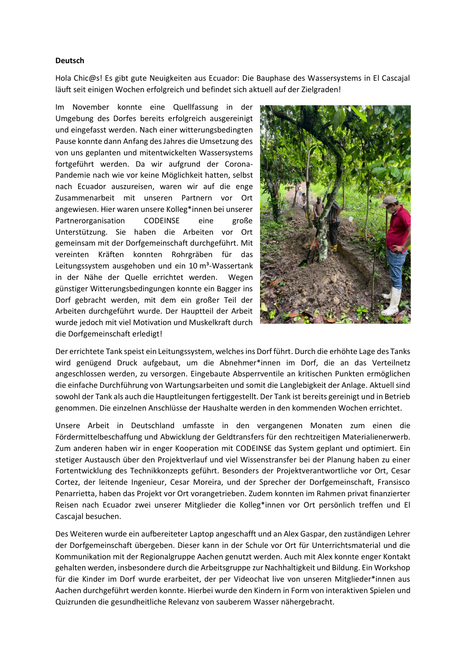## **Deutsch**

Hola Chic@s! Es gibt gute Neuigkeiten aus Ecuador: Die Bauphase des Wassersystems in El Cascajal läuft seit einigen Wochen erfolgreich und befindet sich aktuell auf der Zielgraden!

Im November konnte eine Quellfassung in der Umgebung des Dorfes bereits erfolgreich ausgereinigt und eingefasst werden. Nach einer witterungsbedingten Pause konnte dann Anfang des Jahres die Umsetzung des von uns geplanten und mitentwickelten Wassersystems fortgeführt werden. Da wir aufgrund der Corona-Pandemie nach wie vor keine Möglichkeit hatten, selbst nach Ecuador auszureisen, waren wir auf die enge Zusammenarbeit mit unseren Partnern vor Ort angewiesen. Hier waren unsere Kolleg\*innen bei unserer Partnerorganisation CODEINSE eine große Unterstützung. Sie haben die Arbeiten vor Ort gemeinsam mit der Dorfgemeinschaft durchgeführt. Mit vereinten Kräften konnten Rohrgräben für das Leitungssystem ausgehoben und ein 10 m<sup>3</sup>-Wassertank in der Nähe der Quelle errichtet werden. Wegen günstiger Witterungsbedingungen konnte ein Bagger ins Dorf gebracht werden, mit dem ein großer Teil der Arbeiten durchgeführt wurde. Der Hauptteil der Arbeit wurde jedoch mit viel Motivation und Muskelkraft durch die Dorfgemeinschaft erledigt!



Der errichtete Tank speist ein Leitungssystem, welches ins Dorf führt. Durch die erhöhte Lage des Tanks wird genügend Druck aufgebaut, um die Abnehmer\*innen im Dorf, die an das Verteilnetz angeschlossen werden, zu versorgen. Eingebaute Absperrventile an kritischen Punkten ermöglichen die einfache Durchführung von Wartungsarbeiten und somit die Langlebigkeit der Anlage. Aktuell sind sowohl der Tank als auch die Hauptleitungen fertiggestellt. Der Tank ist bereits gereinigt und in Betrieb genommen. Die einzelnen Anschlüsse der Haushalte werden in den kommenden Wochen errichtet.

Unsere Arbeit in Deutschland umfasste in den vergangenen Monaten zum einen die Fördermittelbeschaffung und Abwicklung der Geldtransfers für den rechtzeitigen Materialienerwerb. Zum anderen haben wir in enger Kooperation mit CODEINSE das System geplant und optimiert. Ein stetiger Austausch über den Projektverlauf und viel Wissenstransfer bei der Planung haben zu einer Fortentwicklung des Technikkonzepts geführt. Besonders der Projektverantwortliche vor Ort, Cesar Cortez, der leitende Ingenieur, Cesar Moreira, und der Sprecher der Dorfgemeinschaft, Fransisco Penarrietta, haben das Projekt vor Ort vorangetrieben. Zudem konnten im Rahmen privat finanzierter Reisen nach Ecuador zwei unserer Mitglieder die Kolleg\*innen vor Ort persönlich treffen und El Cascajal besuchen.

Des Weiteren wurde ein aufbereiteter Laptop angeschafft und an Alex Gaspar, den zuständigen Lehrer der Dorfgemeinschaft übergeben. Dieser kann in der Schule vor Ort für Unterrichtsmaterial und die Kommunikation mit der Regionalgruppe Aachen genutzt werden. Auch mit Alex konnte enger Kontakt gehalten werden, insbesondere durch die Arbeitsgruppe zur Nachhaltigkeit und Bildung. Ein Workshop für die Kinder im Dorf wurde erarbeitet, der per Videochat live von unseren Mitglieder\*innen aus Aachen durchgeführt werden konnte. Hierbei wurde den Kindern in Form von interaktiven Spielen und Quizrunden die gesundheitliche Relevanz von sauberem Wasser nähergebracht.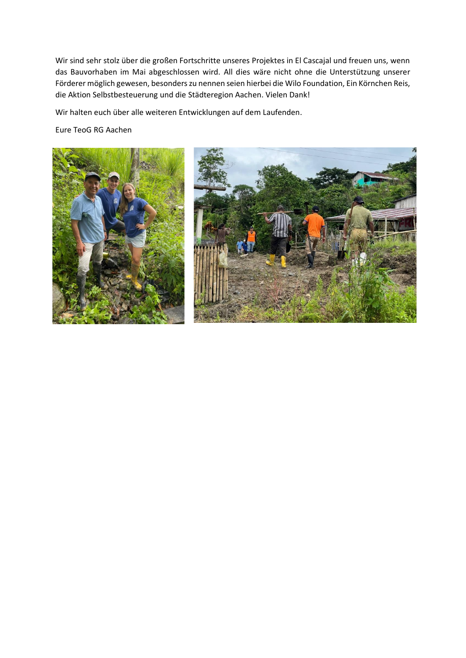Wir sind sehr stolz über die großen Fortschritte unseres Projektes in El Cascajal und freuen uns, wenn das Bauvorhaben im Mai abgeschlossen wird. All dies wäre nicht ohne die Unterstützung unserer Förderer möglich gewesen, besonders zu nennen seien hierbei die Wilo Foundation, Ein Körnchen Reis, die Aktion Selbstbesteuerung und die Städteregion Aachen. Vielen Dank!

Wir halten euch über alle weiteren Entwicklungen auf dem Laufenden.

Eure TeoG RG Aachen



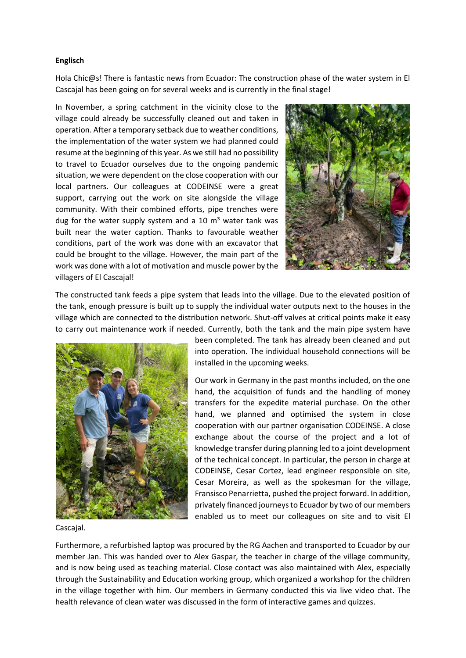## **Englisch**

Hola Chic@s! There is fantastic news from Ecuador: The construction phase of the water system in El Cascajal has been going on for several weeks and is currently in the final stage!

In November, a spring catchment in the vicinity close to the village could already be successfully cleaned out and taken in operation. After a temporary setback due to weather conditions, the implementation of the water system we had planned could resume at the beginning of this year. As we still had no possibility to travel to Ecuador ourselves due to the ongoing pandemic situation, we were dependent on the close cooperation with our local partners. Our colleagues at CODEINSE were a great support, carrying out the work on site alongside the village community. With their combined efforts, pipe trenches were dug for the water supply system and a 10  $m<sup>3</sup>$  water tank was built near the water caption. Thanks to favourable weather conditions, part of the work was done with an excavator that could be brought to the village. However, the main part of the work was done with a lot of motivation and muscle power by the villagers of El Cascajal!



The constructed tank feeds a pipe system that leads into the village. Due to the elevated position of the tank, enough pressure is built up to supply the individual water outputs next to the houses in the village which are connected to the distribution network. Shut-off valves at critical points make it easy to carry out maintenance work if needed. Currently, both the tank and the main pipe system have



been completed. The tank has already been cleaned and put into operation. The individual household connections will be installed in the upcoming weeks.

Our work in Germany in the past months included, on the one hand, the acquisition of funds and the handling of money transfers for the expedite material purchase. On the other hand, we planned and optimised the system in close cooperation with our partner organisation CODEINSE. A close exchange about the course of the project and a lot of knowledge transfer during planning led to a joint development of the technical concept. In particular, the person in charge at CODEINSE, Cesar Cortez, lead engineer responsible on site, Cesar Moreira, as well as the spokesman for the village, Fransisco Penarrietta, pushed the project forward. In addition, privately financed journeysto Ecuador by two of our members enabled us to meet our colleagues on site and to visit El

Cascajal.

Furthermore, a refurbished laptop was procured by the RG Aachen and transported to Ecuador by our member Jan. This was handed over to Alex Gaspar, the teacher in charge of the village community, and is now being used as teaching material. Close contact was also maintained with Alex, especially through the Sustainability and Education working group, which organized a workshop for the children in the village together with him. Our members in Germany conducted this via live video chat. The health relevance of clean water was discussed in the form of interactive games and quizzes.